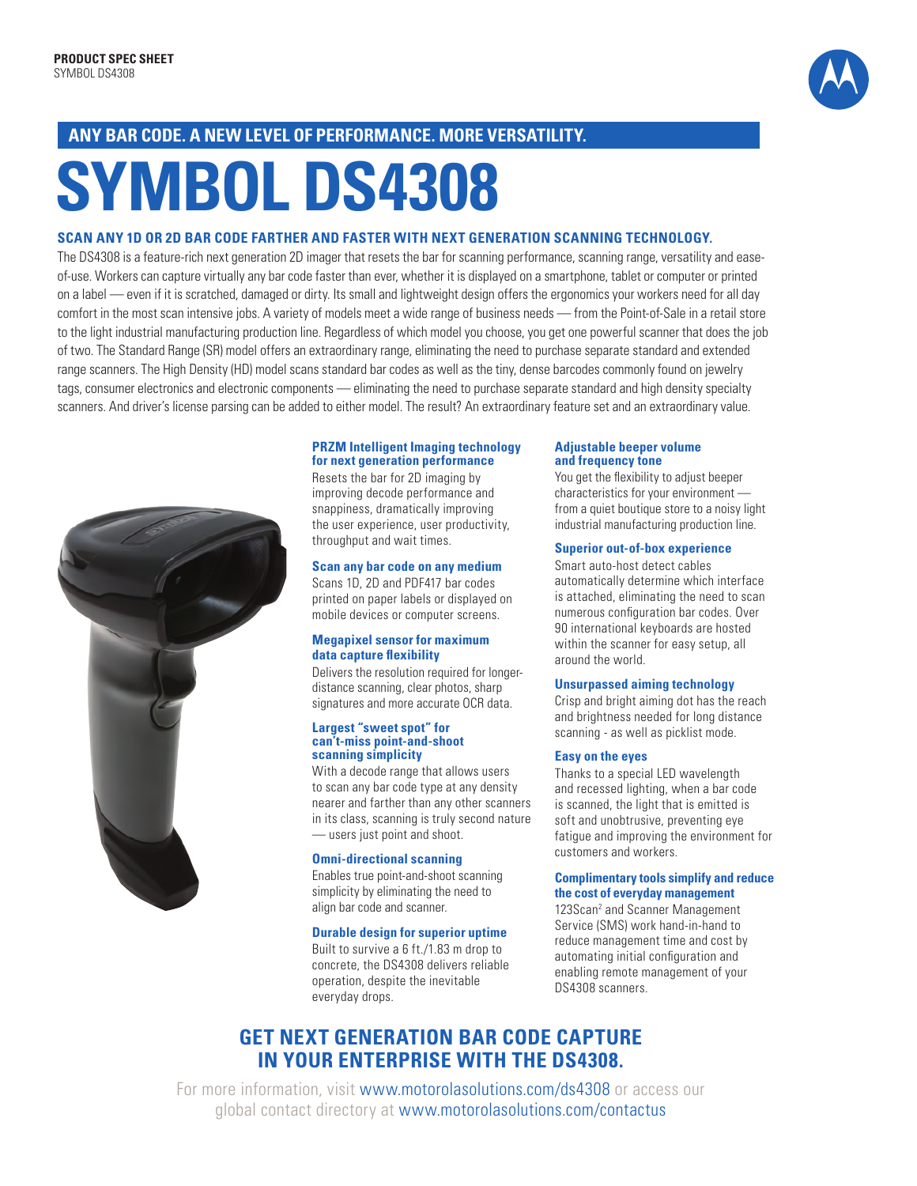

# **any bar code . a new le vel of per form ance . More vers atilit y.**

# **Symbol ds 4308**

#### **scan any 1D or 2D bar code farther and faster with next gener atio n sc anning tech nolo gy.**

The DS4308 is a feature-rich next generation 2D imager that resets the bar for scanning performance, scanning range, versatility and easeof-use. Workers can capture virtually any bar code faster than ever, whether it is displayed on a smartphone, tablet or computer or printed on a label — even if it is scratched, damaged or dirty. Its small and lightweight design offers the ergonomics your workers need for all day comfort in the most scan intensive jobs. A variety of models meet a wide range of business needs — from the Point-of-Sale in a retail store to the light industrial manufacturing production line. Regardless of which model you choose, you get one powerful scanner that does the job of two. The Standard Range (SR) model offers an extraordinary range, eliminating the need to purchase separate standard and extended range scanners. The High Density (HD) model scans standard bar codes as well as the tiny, dense barcodes commonly found on jewelry tags, consumer electronics and electronic components — eliminating the need to purchase separate standard and high density specialty scanners. And driver's license parsing can be added to either model. The result? An extraordinary feature set and an extraordinary value.



#### **PRZM Intelligent Imaging technology for next generation performance**

Resets the bar for 2D imaging by improving decode performance and snappiness, dramatically improving the user experience, user productivity, throughput and wait times.

#### **Scan any bar code on any medium**

Scans 1D, 2D and PDF417 bar codes printed on paper labels or displayed on mobile devices or computer screens.

#### **Megapixel sensor for maximum data capture flexibility**

Delivers the resolution required for longerdistance scanning, clear photos, sharp signatures and more accurate OCR data.

#### **Largest "sweet spot" for can't-miss point-and-shoot scanning simplicity**

With a decode range that allows users to scan any bar code type at any density nearer and farther than any other scanners in its class, scanning is truly second nature — users just point and shoot.

#### **Omni-directional scanning**

Enables true point-and-shoot scanning simplicity by eliminating the need to align bar code and scanner.

#### **Durable design for superior uptime**

Built to survive a 6 ft./1.83 m drop to concrete, the DS4308 delivers reliable operation, despite the inevitable everyday drops.

#### **Adjustable beeper volume and frequency tone**

You get the flexibility to adjust beeper characteristics for your environment from a quiet boutique store to a noisy light industrial manufacturing production line.

#### **Superior out-of-box experience**

Smart auto-host detect cables automatically determine which interface is attached, eliminating the need to scan numerous configuration bar codes. Over 90 international keyboards are hosted within the scanner for easy setup, all around the world.

#### **Unsurpassed aiming technology**

Crisp and bright aiming dot has the reach and brightness needed for long distance scanning - as well as picklist mode.

#### **Easy on the eyes**

Thanks to a special LED wavelength and recessed lighting, when a bar code is scanned, the light that is emitted is soft and unobtrusive, preventing eye fatigue and improving the environment for customers and workers.

#### **Complimentary tools simplify and reduce the cost of everyday management**

123Scan<sup>2</sup> and Scanner Management Service (SMS) work hand-in-hand to reduce management time and cost by automating initial configuration and enabling remote management of your DS4308 scanners.

# **Get next gener atio n bar code capture in your enterprise with the DS4308.**

For more information, visit www.motorolasolutions.com/ds4308 or access our global contact directory at www.motorolasolutions.com/contactus